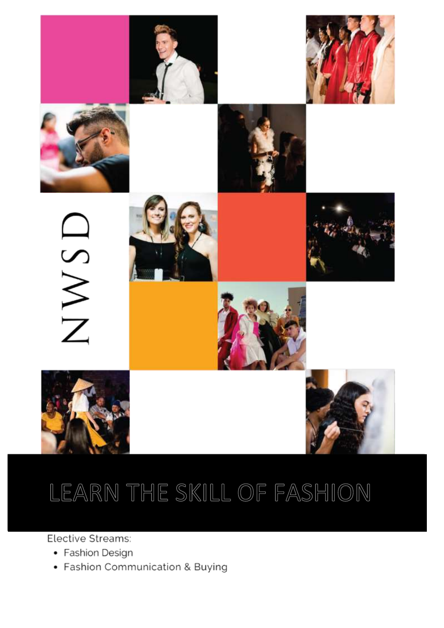

# LEARN THE SKILL OF FASHION

Elective Streams:

- Fashion Design
- Fashion Communication & Buying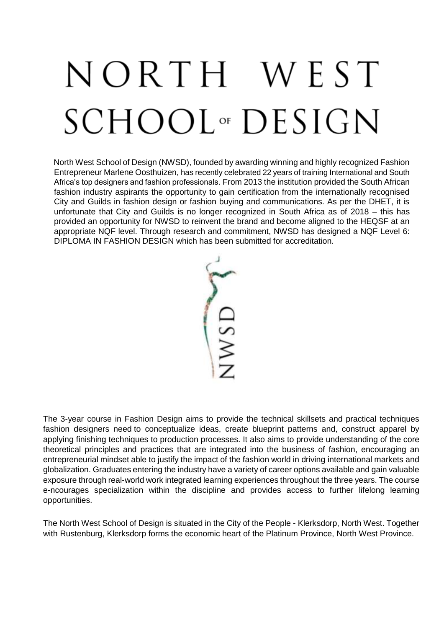# NORTH WEST SCHOOL<sup>or</sup> DESIGN

North West School of Design (NWSD), founded by awarding winning and highly recognized Fashion Entrepreneur Marlene Oosthuizen, has recently celebrated 22 years of training International and South Africa's top designers and fashion professionals. From 2013 the institution provided the South African fashion industry aspirants the opportunity to gain certification from the internationally recognised City and Guilds in fashion design or fashion buying and communications. As per the DHET, it is unfortunate that City and Guilds is no longer recognized in South Africa as of 2018 – this has provided an opportunity for NWSD to reinvent the brand and become aligned to the HEQSF at an appropriate NQF level. Through research and commitment, NWSD has designed a NQF Level 6: DIPLOMA IN FASHION DESIGN which has been submitted for accreditation.

VWSD

The 3-year course in Fashion Design aims to provide the technical skillsets and practical techniques fashion designers need to conceptualize ideas, create blueprint patterns and, construct apparel by applying finishing techniques to production processes. It also aims to provide understanding of the core theoretical principles and practices that are integrated into the business of fashion, encouraging an entrepreneurial mindset able to justify the impact of the fashion world in driving international markets and globalization. Graduates entering the industry have a variety of career options available and gain valuable exposure through real-world work integrated learning experiences throughout the three years. The course e-ncourages specialization within the discipline and provides access to further lifelong learning opportunities.

The North West School of Design is situated in the City of the People - Klerksdorp, North West. Together with [Rustenburg,](https://en.wikipedia.org/wiki/Rustenburg) Klerksdorp forms the economic heart of the Platinum Province, North West Province.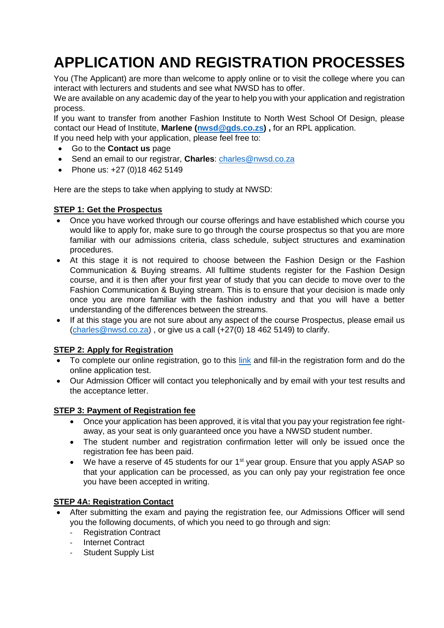# **APPLICATION AND REGISTRATION PROCESSES**

You (The Applicant) are more than welcome to apply online or to visit the college where you can interact with lecturers and students and see what NWSD has to offer.

We are available on any academic day of the year to help you with your application and registration process.

If you want to transfer from another Fashion Institute to North West School Of Design, please contact our Head of Institute, **Marlene [\(nwsd@gds.co.zs\)](mailto:nwsd@gds.co.zs) ,** for an RPL application.

If you need help with your application, please feel free to:

- Go to the **Contact us** page
- Send an email to our registrar, **Charles**: [charles@nwsd.co.za](mailto:charles@nwsd.co.za)
- Phone us: +27 (0)18 462 5149

Here are the steps to take when applying to study at NWSD:

#### **STEP 1: Get the Prospectus**

- Once you have worked through our course offerings and have established which course you would like to apply for, make sure to go through the course prospectus so that you are more familiar with our admissions criteria, class schedule, subject structures and examination procedures.
- At this stage it is not required to choose between the Fashion Design or the Fashion Communication & Buying streams. All fulltime students register for the Fashion Design course, and it is then after your first year of study that you can decide to move over to the Fashion Communication & Buying stream. This is to ensure that your decision is made only once you are more familiar with the fashion industry and that you will have a better understanding of the differences between the streams.
- If at this stage you are not sure about any aspect of the course Prospectus, please email us [\(charles@nwsd.co.za\)](mailto:charles@nwsd.co.za) , or give us a call (+27(0) 18 462 5149) to clarify.

#### **STEP 2: Apply for Registration**

- To complete our online registration, go to this [link](https://www.nwsd.co.za/nwsd-online-application/) and fill-in the registration form and do the online application test.
- Our Admission Officer will contact you telephonically and by email with your test results and the acceptance letter.

#### **STEP 3: Payment of Registration fee**

- Once your application has been approved, it is vital that you pay your registration fee rightaway, as your seat is only guaranteed once you have a NWSD student number.
- The student number and registration confirmation letter will only be issued once the registration fee has been paid.
- $\bullet$  We have a reserve of 45 students for our 1<sup>st</sup> year group. Ensure that you apply ASAP so that your application can be processed, as you can only pay your registration fee once you have been accepted in writing.

#### **STEP 4A: Registration Contact**

- After submitting the exam and paying the registration fee, our Admissions Officer will send you the following documents, of which you need to go through and sign:
	- **Registration Contract**
	- Internet Contract
	- Student Supply List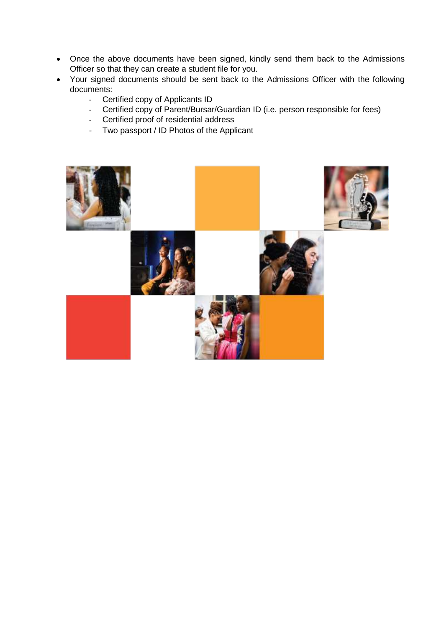- Once the above documents have been signed, kindly send them back to the Admissions Officer so that they can create a student file for you.
- Your signed documents should be sent back to the Admissions Officer with the following documents:
	- Certified copy of Applicants ID
	- Certified copy of Parent/Bursar/Guardian ID (i.e. person responsible for fees)
	- Certified proof of residential address
	- Two passport / ID Photos of the Applicant

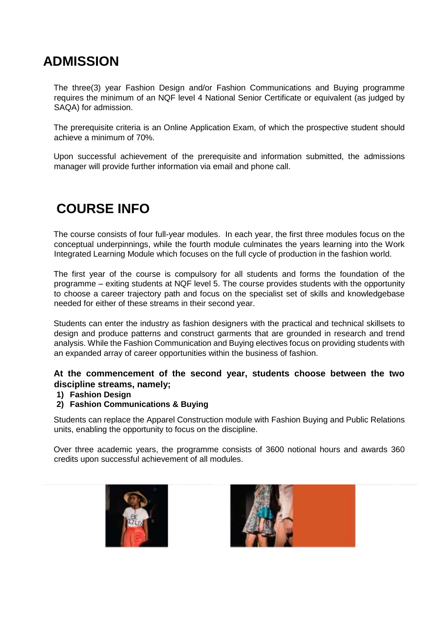### **ADMISSION**

The three(3) year Fashion Design and/or Fashion Communications and Buying programme requires the minimum of an NQF level 4 National Senior Certificate or equivalent (as judged by SAQA) for admission.

The prerequisite criteria is an Online Application Exam, of which the prospective student should achieve a minimum of 70%.

Upon successful achievement of the prerequisite and information submitted, the admissions manager will provide further information via email and phone call.

# **COURSE INFO**

The course consists of four full-year modules. In each year, the first three modules focus on the conceptual underpinnings, while the fourth module culminates the years learning into the Work Integrated Learning Module which focuses on the full cycle of production in the fashion world.

The first year of the course is compulsory for all students and forms the foundation of the programme – exiting students at NQF level 5. The course provides students with the opportunity to choose a career trajectory path and focus on the specialist set of skills and knowledgebase needed for either of these streams in their second year.

Students can enter the industry as fashion designers with the practical and technical skillsets to design and produce patterns and construct garments that are grounded in research and trend analysis. While the Fashion Communication and Buying electives focus on providing students with an expanded array of career opportunities within the business of fashion.

#### **At the commencement of the second year, students choose between the two discipline streams, namely;**

#### **1) Fashion Design**

#### **2) Fashion Communications & Buying**

Students can replace the Apparel Construction module with Fashion Buying and Public Relations units, enabling the opportunity to focus on the discipline.

Over three academic years, the programme consists of 3600 notional hours and awards 360 credits upon successful achievement of all modules.



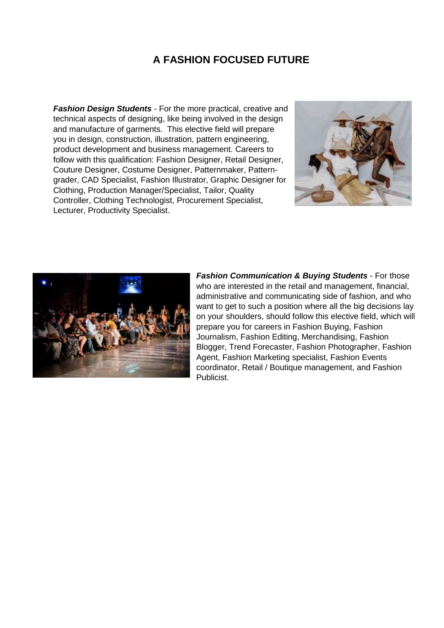#### **A FASHION FOCUSED FUTURE**

*Fashion Design Students* - For the more practical, creative and technical aspects of designing, like being involved in the design and manufacture of garments. This elective field will prepare you in design, construction, illustration, pattern engineering, product development and business management. Careers to follow with this qualification: Fashion Designer, Retail Designer, Couture Designer, Costume Designer, Patternmaker, Patterngrader, CAD Specialist, Fashion Illustrator, Graphic Designer for Clothing, Production Manager/Specialist, Tailor, Quality Controller, Clothing Technologist, Procurement Specialist, Lecturer, Productivity Specialist.





*Fashion Communication & Buying Students* - For those who are interested in the retail and management, financial, administrative and communicating side of fashion, and who want to get to such a position where all the big decisions lay on your shoulders, should follow this elective field, which will prepare you for careers in Fashion Buying, Fashion Journalism, Fashion Editing, Merchandising, Fashion Blogger, Trend Forecaster, Fashion Photographer, Fashion Agent, Fashion Marketing specialist, Fashion Events coordinator, Retail / Boutique management, and Fashion Publicist.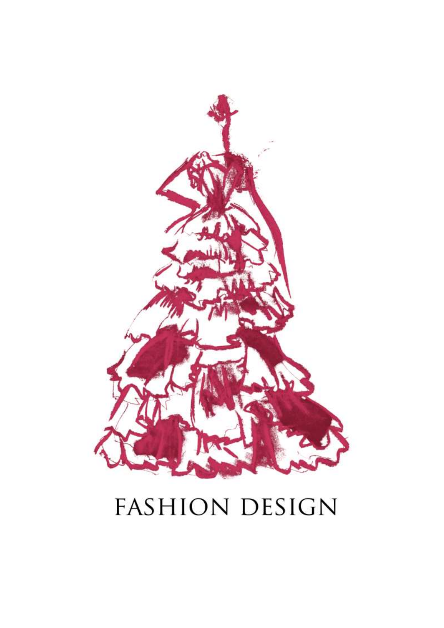# **FASHION DESIGN**

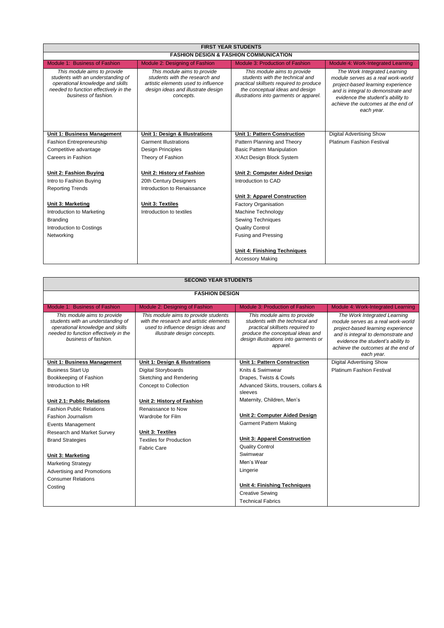| <b>FIRST YEAR STUDENTS</b>                                                                                                                                            |                                                                                                                                                         |                                                                                                                                                                                         |                                                                                                                                                                                                                                        |  |
|-----------------------------------------------------------------------------------------------------------------------------------------------------------------------|---------------------------------------------------------------------------------------------------------------------------------------------------------|-----------------------------------------------------------------------------------------------------------------------------------------------------------------------------------------|----------------------------------------------------------------------------------------------------------------------------------------------------------------------------------------------------------------------------------------|--|
| <b>FASHION DESIGN &amp; FASHION COMMUNICATION</b>                                                                                                                     |                                                                                                                                                         |                                                                                                                                                                                         |                                                                                                                                                                                                                                        |  |
| Module 1: Business of Fashion                                                                                                                                         | Module 2: Designing of Fashion                                                                                                                          | Module 3: Production of Fashion                                                                                                                                                         | Module 4: Work-Integrated Learning                                                                                                                                                                                                     |  |
| This module aims to provide<br>students with an understanding of<br>operational knowledge and skills<br>needed to function effectively in the<br>business of fashion. | This module aims to provide<br>students with the research and<br>artistic elements used to influence<br>design ideas and illustrate design<br>concepts. | This module aims to provide<br>students with the technical and<br>practical skillsets required to produce<br>the conceptual ideas and design<br>illustrations into garments or apparel. | The Work Integrated Learning<br>module serves as a real work-world<br>project-based learning experience<br>and is integral to demonstrate and<br>evidence the student's ability to<br>achieve the outcomes at the end of<br>each year. |  |
| Unit 1: Business Management                                                                                                                                           | Unit 1: Design & Illustrations                                                                                                                          | Unit 1: Pattern Construction                                                                                                                                                            | <b>Digital Advertising Show</b>                                                                                                                                                                                                        |  |
| <b>Fashion Entrepreneurship</b>                                                                                                                                       | <b>Garment Illustrations</b>                                                                                                                            | Pattern Planning and Theory                                                                                                                                                             | <b>Platinum Fashion Festival</b>                                                                                                                                                                                                       |  |
| Competitive advantage                                                                                                                                                 | Design Principles                                                                                                                                       | <b>Basic Pattern Manipulation</b>                                                                                                                                                       |                                                                                                                                                                                                                                        |  |
| Careers in Fashion                                                                                                                                                    | Theory of Fashion                                                                                                                                       | X! Act Design Block System                                                                                                                                                              |                                                                                                                                                                                                                                        |  |
|                                                                                                                                                                       |                                                                                                                                                         |                                                                                                                                                                                         |                                                                                                                                                                                                                                        |  |
| Unit 2: Fashion Buying                                                                                                                                                | Unit 2: History of Fashion                                                                                                                              | Unit 2: Computer Aided Design                                                                                                                                                           |                                                                                                                                                                                                                                        |  |
| Intro to Fashion Buying                                                                                                                                               | 20th Century Designers                                                                                                                                  | Introduction to CAD                                                                                                                                                                     |                                                                                                                                                                                                                                        |  |
| <b>Reporting Trends</b>                                                                                                                                               | Introduction to Renaissance                                                                                                                             |                                                                                                                                                                                         |                                                                                                                                                                                                                                        |  |
|                                                                                                                                                                       |                                                                                                                                                         | <b>Unit 3: Apparel Construction</b>                                                                                                                                                     |                                                                                                                                                                                                                                        |  |
| Unit 3: Marketing                                                                                                                                                     | Unit 3: Textiles                                                                                                                                        | Factory Organisation                                                                                                                                                                    |                                                                                                                                                                                                                                        |  |
| Introduction to Marketing                                                                                                                                             | Introduction to textiles                                                                                                                                | Machine Technology                                                                                                                                                                      |                                                                                                                                                                                                                                        |  |
| Branding                                                                                                                                                              |                                                                                                                                                         | Sewing Techniques                                                                                                                                                                       |                                                                                                                                                                                                                                        |  |
| Introduction to Costings                                                                                                                                              |                                                                                                                                                         | <b>Quality Control</b>                                                                                                                                                                  |                                                                                                                                                                                                                                        |  |
| Networking                                                                                                                                                            |                                                                                                                                                         | Fusing and Pressing                                                                                                                                                                     |                                                                                                                                                                                                                                        |  |
|                                                                                                                                                                       |                                                                                                                                                         |                                                                                                                                                                                         |                                                                                                                                                                                                                                        |  |
|                                                                                                                                                                       |                                                                                                                                                         | <b>Unit 4: Finishing Techniques</b>                                                                                                                                                     |                                                                                                                                                                                                                                        |  |
|                                                                                                                                                                       |                                                                                                                                                         | <b>Accessory Making</b>                                                                                                                                                                 |                                                                                                                                                                                                                                        |  |

| <b>SECOND YEAR STUDENTS</b>                                                                                                                                           |                                                                                                                                                      |                                                                                                                                                                                            |                                                                                                                                                                                                                                        |  |  |  |  |
|-----------------------------------------------------------------------------------------------------------------------------------------------------------------------|------------------------------------------------------------------------------------------------------------------------------------------------------|--------------------------------------------------------------------------------------------------------------------------------------------------------------------------------------------|----------------------------------------------------------------------------------------------------------------------------------------------------------------------------------------------------------------------------------------|--|--|--|--|
| <b>FASHION DESIGN</b>                                                                                                                                                 |                                                                                                                                                      |                                                                                                                                                                                            |                                                                                                                                                                                                                                        |  |  |  |  |
| Module 1: Business of Fashion<br>Module 2: Designing of Fashion<br>Module 3: Production of Fashion<br>Module 4: Work-Integrated Learning                              |                                                                                                                                                      |                                                                                                                                                                                            |                                                                                                                                                                                                                                        |  |  |  |  |
| This module aims to provide<br>students with an understanding of<br>operational knowledge and skills<br>needed to function effectively in the<br>business of fashion. | This module aims to provide students<br>with the research and artistic elements<br>used to influence design ideas and<br>illustrate design concepts. | This module aims to provide<br>students with the technical and<br>practical skillsets required to<br>produce the conceptual ideas and<br>design illustrations into garments or<br>apparel. | The Work Integrated Learning<br>module serves as a real work-world<br>project-based learning experience<br>and is integral to demonstrate and<br>evidence the student's ability to<br>achieve the outcomes at the end of<br>each year. |  |  |  |  |
| Unit 1: Business Management                                                                                                                                           | Unit 1: Design & Illustrations                                                                                                                       | Unit 1: Pattern Construction                                                                                                                                                               | Digital Advertising Show                                                                                                                                                                                                               |  |  |  |  |
| <b>Business Start Up</b>                                                                                                                                              | Digital Storyboards                                                                                                                                  | Knits & Swimwear                                                                                                                                                                           | <b>Platinum Fashion Festival</b>                                                                                                                                                                                                       |  |  |  |  |
| Bookkeeping of Fashion                                                                                                                                                | Sketching and Rendering<br>Drapes, Twists & Cowls                                                                                                    |                                                                                                                                                                                            |                                                                                                                                                                                                                                        |  |  |  |  |
| Introduction to HR                                                                                                                                                    | Concept to Collection                                                                                                                                | Advanced Skirts, trousers, collars &<br>sleeves                                                                                                                                            |                                                                                                                                                                                                                                        |  |  |  |  |
| Unit 2.1: Public Relations                                                                                                                                            | Unit 2: History of Fashion                                                                                                                           | Maternity, Children, Men's                                                                                                                                                                 |                                                                                                                                                                                                                                        |  |  |  |  |
| <b>Fashion Public Relations</b>                                                                                                                                       | Renaissance to Now                                                                                                                                   |                                                                                                                                                                                            |                                                                                                                                                                                                                                        |  |  |  |  |
| <b>Fashion Journalism</b>                                                                                                                                             | Wardrobe for Film                                                                                                                                    | Unit 2: Computer Aided Design                                                                                                                                                              |                                                                                                                                                                                                                                        |  |  |  |  |
| <b>Events Management</b>                                                                                                                                              |                                                                                                                                                      | Garment Pattern Making                                                                                                                                                                     |                                                                                                                                                                                                                                        |  |  |  |  |
| Research and Market Survey                                                                                                                                            | Unit 3: Textiles                                                                                                                                     |                                                                                                                                                                                            |                                                                                                                                                                                                                                        |  |  |  |  |
| <b>Brand Strategies</b>                                                                                                                                               | <b>Textiles for Production</b>                                                                                                                       | <b>Unit 3: Apparel Construction</b>                                                                                                                                                        |                                                                                                                                                                                                                                        |  |  |  |  |
|                                                                                                                                                                       | <b>Fabric Care</b>                                                                                                                                   | <b>Quality Control</b>                                                                                                                                                                     |                                                                                                                                                                                                                                        |  |  |  |  |
| Unit 3: Marketing                                                                                                                                                     |                                                                                                                                                      | Swimwear                                                                                                                                                                                   |                                                                                                                                                                                                                                        |  |  |  |  |
| <b>Marketing Strategy</b>                                                                                                                                             |                                                                                                                                                      | Men's Wear                                                                                                                                                                                 |                                                                                                                                                                                                                                        |  |  |  |  |
| Advertising and Promotions                                                                                                                                            |                                                                                                                                                      | Lingerie                                                                                                                                                                                   |                                                                                                                                                                                                                                        |  |  |  |  |
| <b>Consumer Relations</b>                                                                                                                                             |                                                                                                                                                      |                                                                                                                                                                                            |                                                                                                                                                                                                                                        |  |  |  |  |
| Costing                                                                                                                                                               |                                                                                                                                                      | Unit 4: Finishing Techniques                                                                                                                                                               |                                                                                                                                                                                                                                        |  |  |  |  |
|                                                                                                                                                                       |                                                                                                                                                      | <b>Creative Sewing</b>                                                                                                                                                                     |                                                                                                                                                                                                                                        |  |  |  |  |
|                                                                                                                                                                       |                                                                                                                                                      | <b>Technical Fabrics</b>                                                                                                                                                                   |                                                                                                                                                                                                                                        |  |  |  |  |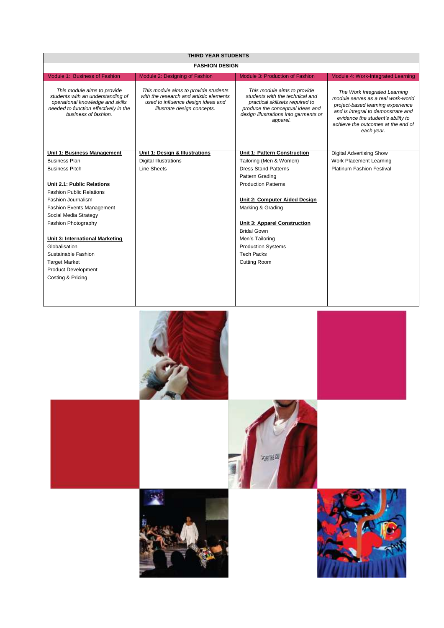| <b>THIRD YEAR STUDENTS</b>                                                                                                                                            |                                                                                                                                                      |                                                                                                                                                                                            |                                                                                                                                                                                                                                        |  |
|-----------------------------------------------------------------------------------------------------------------------------------------------------------------------|------------------------------------------------------------------------------------------------------------------------------------------------------|--------------------------------------------------------------------------------------------------------------------------------------------------------------------------------------------|----------------------------------------------------------------------------------------------------------------------------------------------------------------------------------------------------------------------------------------|--|
| <b>FASHION DESIGN</b>                                                                                                                                                 |                                                                                                                                                      |                                                                                                                                                                                            |                                                                                                                                                                                                                                        |  |
| Module 1: Business of Fashion                                                                                                                                         | Module 2: Designing of Fashion                                                                                                                       | Module 3: Production of Fashion                                                                                                                                                            | Module 4: Work-Integrated Learning                                                                                                                                                                                                     |  |
| This module aims to provide<br>students with an understanding of<br>operational knowledge and skills<br>needed to function effectively in the<br>business of fashion. | This module aims to provide students<br>with the research and artistic elements<br>used to influence design ideas and<br>illustrate design concepts. | This module aims to provide<br>students with the technical and<br>practical skillsets required to<br>produce the conceptual ideas and<br>design illustrations into garments or<br>apparel. | The Work Integrated Learning<br>module serves as a real work-world<br>project-based learning experience<br>and is integral to demonstrate and<br>evidence the student's ability to<br>achieve the outcomes at the end of<br>each year. |  |
| Unit 1: Business Management                                                                                                                                           | Unit 1: Design & Illustrations                                                                                                                       | Unit 1: Pattern Construction                                                                                                                                                               | <b>Digital Advertising Show</b>                                                                                                                                                                                                        |  |
| <b>Business Plan</b>                                                                                                                                                  | <b>Digital Illustrations</b>                                                                                                                         | Tailoring (Men & Women)                                                                                                                                                                    | Work Placement Learning                                                                                                                                                                                                                |  |
| <b>Business Pitch</b>                                                                                                                                                 | Line Sheets                                                                                                                                          | <b>Dress Stand Patterns</b>                                                                                                                                                                | <b>Platinum Fashion Festival</b>                                                                                                                                                                                                       |  |
|                                                                                                                                                                       |                                                                                                                                                      | Pattern Grading                                                                                                                                                                            |                                                                                                                                                                                                                                        |  |
| Unit 2.1: Public Relations                                                                                                                                            |                                                                                                                                                      | <b>Production Patterns</b>                                                                                                                                                                 |                                                                                                                                                                                                                                        |  |
| <b>Fashion Public Relations</b>                                                                                                                                       |                                                                                                                                                      |                                                                                                                                                                                            |                                                                                                                                                                                                                                        |  |
| Fashion Journalism                                                                                                                                                    |                                                                                                                                                      | Unit 2: Computer Aided Design                                                                                                                                                              |                                                                                                                                                                                                                                        |  |
| <b>Fashion Events Management</b>                                                                                                                                      |                                                                                                                                                      | Marking & Grading                                                                                                                                                                          |                                                                                                                                                                                                                                        |  |
| Social Media Strategy                                                                                                                                                 |                                                                                                                                                      |                                                                                                                                                                                            |                                                                                                                                                                                                                                        |  |
| Fashion Photography                                                                                                                                                   |                                                                                                                                                      | <b>Unit 3: Apparel Construction</b>                                                                                                                                                        |                                                                                                                                                                                                                                        |  |
|                                                                                                                                                                       |                                                                                                                                                      | <b>Bridal Gown</b>                                                                                                                                                                         |                                                                                                                                                                                                                                        |  |
| Unit 3: International Marketing                                                                                                                                       |                                                                                                                                                      | Men's Tailoring                                                                                                                                                                            |                                                                                                                                                                                                                                        |  |
| Globalisation                                                                                                                                                         |                                                                                                                                                      | <b>Production Systems</b>                                                                                                                                                                  |                                                                                                                                                                                                                                        |  |
| Sustainable Fashion                                                                                                                                                   |                                                                                                                                                      | <b>Tech Packs</b>                                                                                                                                                                          |                                                                                                                                                                                                                                        |  |
| <b>Target Market</b>                                                                                                                                                  |                                                                                                                                                      | <b>Cutting Room</b>                                                                                                                                                                        |                                                                                                                                                                                                                                        |  |
| <b>Product Development</b>                                                                                                                                            |                                                                                                                                                      |                                                                                                                                                                                            |                                                                                                                                                                                                                                        |  |
| Costing & Pricing                                                                                                                                                     |                                                                                                                                                      |                                                                                                                                                                                            |                                                                                                                                                                                                                                        |  |
|                                                                                                                                                                       |                                                                                                                                                      |                                                                                                                                                                                            |                                                                                                                                                                                                                                        |  |
|                                                                                                                                                                       |                                                                                                                                                      |                                                                                                                                                                                            |                                                                                                                                                                                                                                        |  |





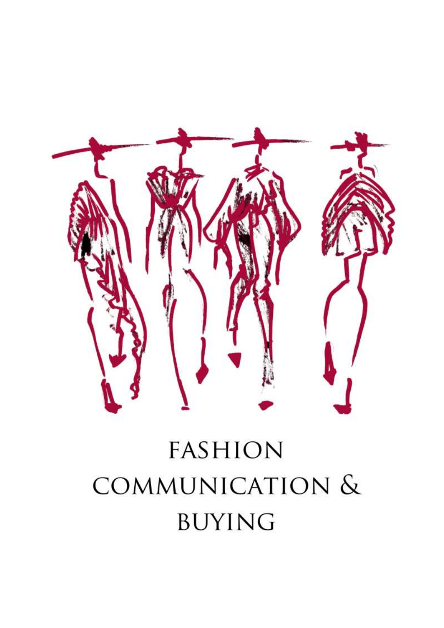

# **FASHION** COMMUNICATION & **BUYING**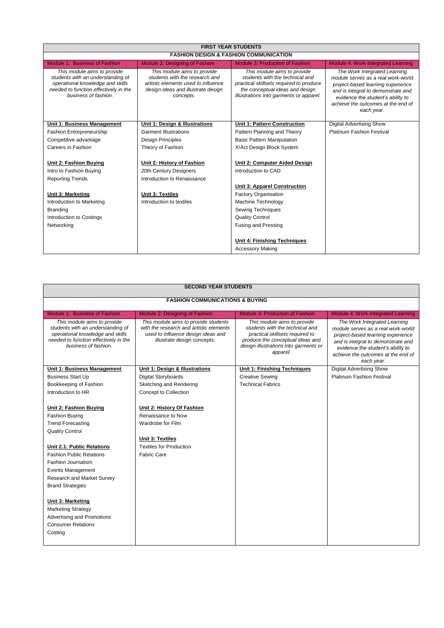| <b>FIRST YEAR STUDENTS</b>                                                                                                                                            |                                                                                                                                                         |                                                                                                                                                                                         |                                                                                                                                                                                                                                        |  |
|-----------------------------------------------------------------------------------------------------------------------------------------------------------------------|---------------------------------------------------------------------------------------------------------------------------------------------------------|-----------------------------------------------------------------------------------------------------------------------------------------------------------------------------------------|----------------------------------------------------------------------------------------------------------------------------------------------------------------------------------------------------------------------------------------|--|
| <b>FASHION DESIGN &amp; FASHION COMMUNICATION</b>                                                                                                                     |                                                                                                                                                         |                                                                                                                                                                                         |                                                                                                                                                                                                                                        |  |
| Module 1: Business of Fashion                                                                                                                                         | Module 2: Designing of Fashion                                                                                                                          | <b>Module 3: Production of Fashion</b>                                                                                                                                                  | Module 4: Work-Integrated Learning                                                                                                                                                                                                     |  |
| This module aims to provide<br>students with an understanding of<br>operational knowledge and skills<br>needed to function effectively in the<br>business of fashion. | This module aims to provide<br>students with the research and<br>artistic elements used to influence<br>design ideas and illustrate design<br>concepts. | This module aims to provide<br>students with the technical and<br>practical skillsets required to produce<br>the conceptual ideas and design<br>illustrations into garments or apparel. | The Work Integrated Learning<br>module serves as a real work-world<br>project-based learning experience<br>and is integral to demonstrate and<br>evidence the student's ability to<br>achieve the outcomes at the end of<br>each year. |  |
| <b>Unit 1: Business Management</b>                                                                                                                                    | Unit 1: Design & Illustrations                                                                                                                          | <b>Unit 1: Pattern Construction</b>                                                                                                                                                     | <b>Digital Advertising Show</b>                                                                                                                                                                                                        |  |
| Fashion Entrepreneurship                                                                                                                                              | <b>Garment Illustrations</b>                                                                                                                            | Pattern Planning and Theory                                                                                                                                                             | <b>Platinum Fashion Festival</b>                                                                                                                                                                                                       |  |
| Competitive advantage                                                                                                                                                 | <b>Design Principles</b>                                                                                                                                | <b>Basic Pattern Manipulation</b>                                                                                                                                                       |                                                                                                                                                                                                                                        |  |
| Careers in Fashion                                                                                                                                                    | Theory of Fashion                                                                                                                                       | X! Act Design Block System                                                                                                                                                              |                                                                                                                                                                                                                                        |  |
| Unit 2: Fashion Buying                                                                                                                                                | Unit 2: History of Fashion                                                                                                                              | Unit 2: Computer Aided Design                                                                                                                                                           |                                                                                                                                                                                                                                        |  |
| Intro to Fashion Buying                                                                                                                                               | 20th Century Designers                                                                                                                                  | Introduction to CAD                                                                                                                                                                     |                                                                                                                                                                                                                                        |  |
| <b>Reporting Trends</b>                                                                                                                                               | Introduction to Renaissance                                                                                                                             |                                                                                                                                                                                         |                                                                                                                                                                                                                                        |  |
|                                                                                                                                                                       |                                                                                                                                                         | <b>Unit 3: Apparel Construction</b>                                                                                                                                                     |                                                                                                                                                                                                                                        |  |
| <b>Unit 3: Marketing</b>                                                                                                                                              | Unit 3: Textiles                                                                                                                                        | Factory Organisation                                                                                                                                                                    |                                                                                                                                                                                                                                        |  |
| Introduction to Marketing                                                                                                                                             | Introduction to textiles                                                                                                                                | Machine Technology                                                                                                                                                                      |                                                                                                                                                                                                                                        |  |
| Branding                                                                                                                                                              |                                                                                                                                                         | Sewing Techniques                                                                                                                                                                       |                                                                                                                                                                                                                                        |  |
| Introduction to Costings                                                                                                                                              |                                                                                                                                                         | <b>Quality Control</b>                                                                                                                                                                  |                                                                                                                                                                                                                                        |  |
| Networking                                                                                                                                                            |                                                                                                                                                         | Fusing and Pressing                                                                                                                                                                     |                                                                                                                                                                                                                                        |  |
|                                                                                                                                                                       |                                                                                                                                                         | Unit 4: Finishing Techniques                                                                                                                                                            |                                                                                                                                                                                                                                        |  |
|                                                                                                                                                                       |                                                                                                                                                         | <b>Accessory Making</b>                                                                                                                                                                 |                                                                                                                                                                                                                                        |  |

| <b>SECOND YEAR STUDENTS</b>                                                                                                                                                                                                                                                                                                                                                                                                                                                                                     |                                                                                                                                                                                            |                                                                                                                                                                                                                                        |  |  |  |  |  |
|-----------------------------------------------------------------------------------------------------------------------------------------------------------------------------------------------------------------------------------------------------------------------------------------------------------------------------------------------------------------------------------------------------------------------------------------------------------------------------------------------------------------|--------------------------------------------------------------------------------------------------------------------------------------------------------------------------------------------|----------------------------------------------------------------------------------------------------------------------------------------------------------------------------------------------------------------------------------------|--|--|--|--|--|
|                                                                                                                                                                                                                                                                                                                                                                                                                                                                                                                 |                                                                                                                                                                                            |                                                                                                                                                                                                                                        |  |  |  |  |  |
| <b>FASHION COMMUNICATIONS &amp; BUYING</b>                                                                                                                                                                                                                                                                                                                                                                                                                                                                      |                                                                                                                                                                                            |                                                                                                                                                                                                                                        |  |  |  |  |  |
| Module 1: Business of Fashion<br>Module 2: Designing of Fashion<br>Module 3: Production of Fashion<br>Module 4: Work-Integrated Learning                                                                                                                                                                                                                                                                                                                                                                        |                                                                                                                                                                                            |                                                                                                                                                                                                                                        |  |  |  |  |  |
| This module aims to provide<br>with the research and artistic elements<br>students with an understanding of<br>operational knowledge and skills<br>needed to function effectively in the<br>business of fashion.                                                                                                                                                                                                                                                                                                | This module aims to provide<br>students with the technical and<br>practical skillsets required to<br>produce the conceptual ideas and<br>design illustrations into garments or<br>apparel. | The Work Integrated Learning<br>module serves as a real work-world<br>project-based learning experience<br>and is integral to demonstrate and<br>evidence the student's ability to<br>achieve the outcomes at the end of<br>each year. |  |  |  |  |  |
| Unit 1: Business Management<br>Unit 1: Design & Illustrations                                                                                                                                                                                                                                                                                                                                                                                                                                                   | Unit 1: Finishing Techniques                                                                                                                                                               | <b>Digital Advertising Show</b>                                                                                                                                                                                                        |  |  |  |  |  |
| <b>Business Start Up</b><br><b>Digital Storyboards</b>                                                                                                                                                                                                                                                                                                                                                                                                                                                          | <b>Creative Sewing</b>                                                                                                                                                                     | <b>Platinum Fashion Festival</b>                                                                                                                                                                                                       |  |  |  |  |  |
| Sketching and Rendering<br>Bookkeeping of Fashion                                                                                                                                                                                                                                                                                                                                                                                                                                                               | <b>Technical Fabrics</b>                                                                                                                                                                   |                                                                                                                                                                                                                                        |  |  |  |  |  |
| Introduction to HR<br>Concept to Collection                                                                                                                                                                                                                                                                                                                                                                                                                                                                     |                                                                                                                                                                                            |                                                                                                                                                                                                                                        |  |  |  |  |  |
| Unit 2: History Of Fashion<br>Unit 2: Fashion Buying<br>Renaissance to Now<br>Fashion Buying<br><b>Trend Forecasting</b><br>Wardrobe for Film<br><b>Quality Control</b><br>Unit 3: Textiles<br>Unit 2.1: Public Relations<br><b>Textiles for Production</b><br><b>Fashion Public Relations</b><br><b>Fabric Care</b><br>Fashion Journalism<br>Events Management<br>Research and Market Survey<br><b>Brand Strategies</b><br>Unit 3: Marketing<br><b>Marketing Strategy</b><br><b>Advertising and Promotions</b> |                                                                                                                                                                                            |                                                                                                                                                                                                                                        |  |  |  |  |  |
| <b>Consumer Relations</b><br>Costing                                                                                                                                                                                                                                                                                                                                                                                                                                                                            |                                                                                                                                                                                            |                                                                                                                                                                                                                                        |  |  |  |  |  |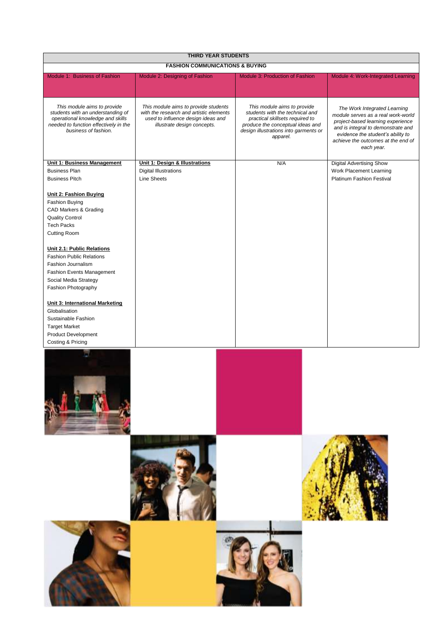| <b>THIRD YEAR STUDENTS</b>                                                                                                                                                                                                                                                                                                                                                                                                                                               |                                                                                                                                                      |                                                                                                                                                                                            |                                                                                                                                                                                                                                        |  |
|--------------------------------------------------------------------------------------------------------------------------------------------------------------------------------------------------------------------------------------------------------------------------------------------------------------------------------------------------------------------------------------------------------------------------------------------------------------------------|------------------------------------------------------------------------------------------------------------------------------------------------------|--------------------------------------------------------------------------------------------------------------------------------------------------------------------------------------------|----------------------------------------------------------------------------------------------------------------------------------------------------------------------------------------------------------------------------------------|--|
|                                                                                                                                                                                                                                                                                                                                                                                                                                                                          | <b>FASHION COMMUNICATIONS &amp; BUYING</b>                                                                                                           |                                                                                                                                                                                            |                                                                                                                                                                                                                                        |  |
| Module 1: Business of Fashion                                                                                                                                                                                                                                                                                                                                                                                                                                            | Module 2: Designing of Fashion                                                                                                                       | Module 3: Production of Fashion                                                                                                                                                            | Module 4: Work-Integrated Learning                                                                                                                                                                                                     |  |
| This module aims to provide<br>students with an understanding of<br>operational knowledge and skills<br>needed to function effectively in the<br>business of fashion.                                                                                                                                                                                                                                                                                                    | This module aims to provide students<br>with the research and artistic elements<br>used to influence design ideas and<br>illustrate design concepts. | This module aims to provide<br>students with the technical and<br>practical skillsets required to<br>produce the conceptual ideas and<br>design illustrations into garments or<br>apparel. | The Work Integrated Learning<br>module serves as a real work-world<br>project-based learning experience<br>and is integral to demonstrate and<br>evidence the student's ability to<br>achieve the outcomes at the end of<br>each year. |  |
| <b>Unit 1: Business Management</b>                                                                                                                                                                                                                                                                                                                                                                                                                                       | Unit 1: Design & Illustrations                                                                                                                       | N/A                                                                                                                                                                                        | Digital Advertising Show                                                                                                                                                                                                               |  |
| <b>Business Plan</b>                                                                                                                                                                                                                                                                                                                                                                                                                                                     | <b>Digital Illustrations</b>                                                                                                                         |                                                                                                                                                                                            | Work Placement Learning                                                                                                                                                                                                                |  |
| <b>Business Pitch</b>                                                                                                                                                                                                                                                                                                                                                                                                                                                    | <b>Line Sheets</b>                                                                                                                                   |                                                                                                                                                                                            | Platinum Fashion Festival                                                                                                                                                                                                              |  |
| <b>Unit 2: Fashion Buying</b><br>Fashion Buying<br>CAD Markers & Grading<br><b>Quality Control</b><br><b>Tech Packs</b><br>Cutting Room<br>Unit 2.1: Public Relations<br><b>Fashion Public Relations</b><br>Fashion Journalism<br><b>Fashion Events Management</b><br>Social Media Strategy<br>Fashion Photography<br><b>Unit 3: International Marketing</b><br>Globalisation<br>Sustainable Fashion<br><b>Target Market</b><br>Product Development<br>Costing & Pricing |                                                                                                                                                      |                                                                                                                                                                                            |                                                                                                                                                                                                                                        |  |
|                                                                                                                                                                                                                                                                                                                                                                                                                                                                          |                                                                                                                                                      |                                                                                                                                                                                            |                                                                                                                                                                                                                                        |  |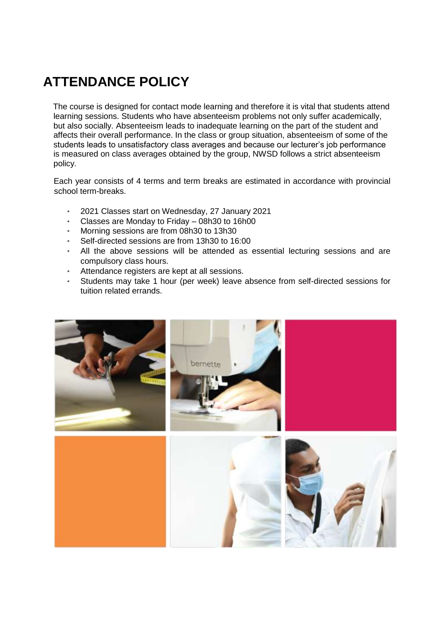## **ATTENDANCE POLICY**

The course is designed for contact mode learning and therefore it is vital that students attend learning sessions. Students who have absenteeism problems not only suffer academically, but also socially. Absenteeism leads to inadequate learning on the part of the student and affects their overall performance. In the class or group situation, absenteeism of some of the students leads to unsatisfactory class averages and because our lecturer's job performance is measured on class averages obtained by the group, NWSD follows a strict absenteeism policy.

Each year consists of 4 terms and term breaks are estimated in accordance with provincial school term-breaks.

- 2021 Classes start on Wednesday, 27 January 2021
- Classes are Monday to Friday 08h30 to 16h00
- Morning sessions are from 08h30 to 13h30
- Self-directed sessions are from 13h30 to 16:00
- All the above sessions will be attended as essential lecturing sessions and are compulsory class hours.
- Attendance registers are kept at all sessions.
- Students may take 1 hour (per week) leave absence from self-directed sessions for tuition related errands.

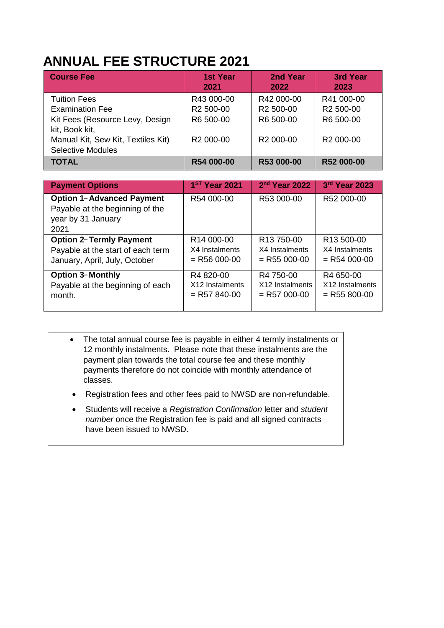### **ANNUAL FEE STRUCTURE 2021**

| <b>Course Fee</b>                  | <b>1st Year</b><br>2021 | 2nd Year<br>2022      | <b>3rd Year</b><br>2023 |
|------------------------------------|-------------------------|-----------------------|-------------------------|
| <b>Tuition Fees</b>                | R43 000-00              | R42 000-00            | R41 000-00              |
| <b>Examination Fee</b>             | R <sub>2</sub> 500-00   | R <sub>2</sub> 500-00 | R <sub>2</sub> 500-00   |
| Kit Fees (Resource Levy, Design    | R6 500-00               | R6 500-00             | R6 500-00               |
| kit, Book kit,                     |                         |                       |                         |
| Manual Kit, Sew Kit, Textiles Kit) | R <sub>2</sub> 000-00   | R <sub>2</sub> 000-00 | R <sub>2</sub> 000-00   |
| <b>Selective Modules</b>           |                         |                       |                         |
| <b>TOTAL</b>                       | R54 000-00              | R53 000-00            | R52 000-00              |

| <b>Payment Options</b>                                                                            | 1 <sup>ST</sup> Year 2021   | 2 <sup>nd</sup> Year 2022 | 3rd Year 2023          |
|---------------------------------------------------------------------------------------------------|-----------------------------|---------------------------|------------------------|
| <b>Option 1-Advanced Payment</b><br>Payable at the beginning of the<br>year by 31 January<br>2021 | R54 000-00                  | R53 000-00                | R52 000-00             |
| <b>Option 2-Termly Payment</b>                                                                    | R14 000-00                  | R <sub>13</sub> 750-00    | R <sub>13</sub> 500-00 |
| Payable at the start of each term                                                                 | X4 Instalments              | X4 Instalments            | X4 Instalments         |
| January, April, July, October                                                                     | $=$ R56 000-00              | $=$ R55 000-00            | $=$ R54 000-00         |
| <b>Option 3-Monthly</b>                                                                           | R4 820-00                   | R4 750-00                 | R4 650-00              |
| Payable at the beginning of each                                                                  | X <sub>12</sub> Instalments | X12 Instalments           | X12 Instalments        |
| month.                                                                                            | $=$ R57 840-00              | $=$ R57 000-00            | $=$ R55 800-00         |

- The total annual course fee is payable in either 4 termly instalments or 12 monthly instalments. Please note that these instalments are the payment plan towards the total course fee and these monthly payments therefore do not coincide with monthly attendance of classes.
- Registration fees and other fees paid to NWSD are non-refundable.
- Students will receive a *Registration Confirmation* letter and *student number* once the Registration fee is paid and all signed contracts have been issued to NWSD.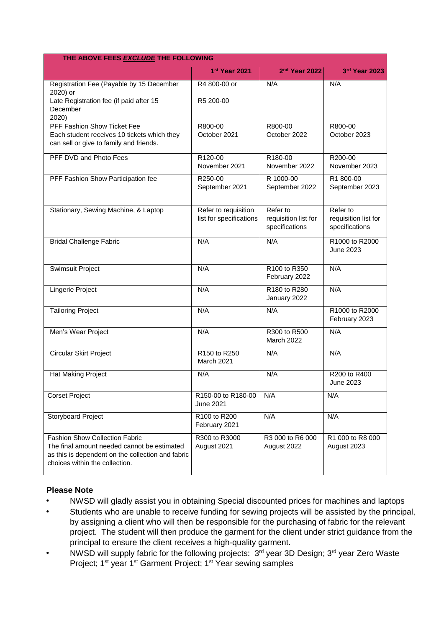| THE ABOVE FEES EXCLUDE THE FOLLOWING                                                                                                                                        |                                                 |                                                    |                                                    |  |
|-----------------------------------------------------------------------------------------------------------------------------------------------------------------------------|-------------------------------------------------|----------------------------------------------------|----------------------------------------------------|--|
|                                                                                                                                                                             | 1st Year 2021                                   | 2 <sup>nd</sup> Year 2022                          | 3rd Year 2023                                      |  |
| Registration Fee (Payable by 15 December<br>2020) or<br>Late Registration fee (if paid after 15<br>December<br>2020)                                                        | R4 800-00 or<br>R5 200-00                       | N/A                                                | N/A                                                |  |
| PFF Fashion Show Ticket Fee<br>Each student receives 10 tickets which they<br>can sell or give to family and friends.                                                       | R800-00<br>October 2021                         | R800-00<br>October 2022                            | R800-00<br>October 2023                            |  |
| PFF DVD and Photo Fees                                                                                                                                                      | R120-00<br>November 2021                        | R180-00<br>November 2022                           | R200-00<br>November 2023                           |  |
| PFF Fashion Show Participation fee                                                                                                                                          | R250-00<br>September 2021                       | R 1000-00<br>September 2022                        | R1 800-00<br>September 2023                        |  |
| Stationary, Sewing Machine, & Laptop                                                                                                                                        | Refer to requisition<br>list for specifications | Refer to<br>requisition list for<br>specifications | Refer to<br>requisition list for<br>specifications |  |
| <b>Bridal Challenge Fabric</b>                                                                                                                                              | N/A                                             | N/A                                                | R1000 to R2000<br>June 2023                        |  |
| Swimsuit Project                                                                                                                                                            | N/A                                             | R100 to R350<br>February 2022                      | N/A                                                |  |
| Lingerie Project                                                                                                                                                            | N/A                                             | R180 to R280<br>January 2022                       | N/A                                                |  |
| <b>Tailoring Project</b>                                                                                                                                                    | N/A                                             | N/A                                                | R1000 to R2000<br>February 2023                    |  |
| Men's Wear Project                                                                                                                                                          | N/A                                             | R300 to R500<br>March 2022                         | N/A                                                |  |
| <b>Circular Skirt Project</b>                                                                                                                                               | R150 to R250<br>March 2021                      | N/A                                                | N/A                                                |  |
| Hat Making Project                                                                                                                                                          | N/A                                             | N/A                                                | R200 to R400<br>June 2023                          |  |
| <b>Corset Project</b>                                                                                                                                                       | R150-00 to R180-00<br>June 2021                 | N/A                                                | N/A                                                |  |
| Storyboard Project                                                                                                                                                          | R100 to R200<br>February 2021                   | N/A                                                | N/A                                                |  |
| <b>Fashion Show Collection Fabric</b><br>The final amount needed cannot be estimated<br>as this is dependent on the collection and fabric<br>choices within the collection. | R300 to R3000<br>August 2021                    | R3 000 to R6 000<br>August 2022                    | R1 000 to R8 000<br>August 2023                    |  |

#### **Please Note**

- NWSD will gladly assist you in obtaining Special discounted prices for machines and laptops
- Students who are unable to receive funding for sewing projects will be assisted by the principal, by assigning a client who will then be responsible for the purchasing of fabric for the relevant project. The student will then produce the garment for the client under strict guidance from the principal to ensure the client receives a high-quality garment.
- NWSD will supply fabric for the following projects: 3rd year 3D Design; 3rd year Zero Waste Project; 1<sup>st</sup> year 1<sup>st</sup> Garment Project; 1<sup>st</sup> Year sewing samples